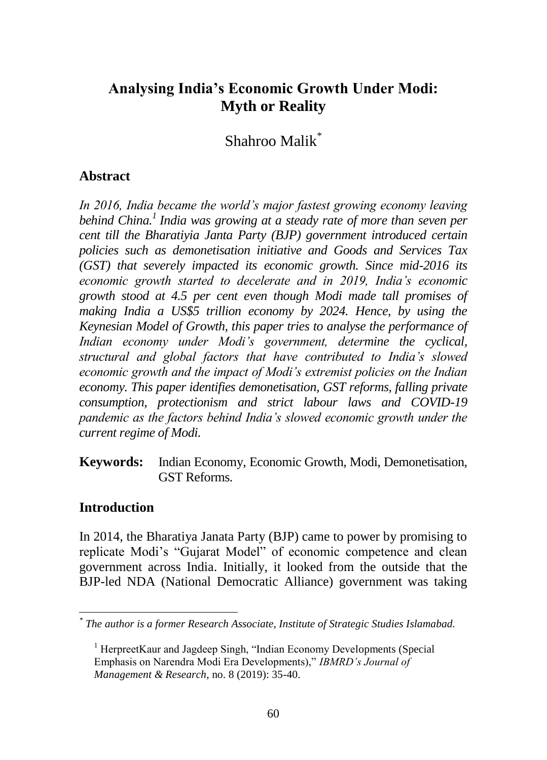# **Analysing India's Economic Growth Under Modi: Myth or Reality**

Shahroo Malik\*

## **Abstract**

*In 2016, India became the world's major fastest growing economy leaving behind China.<sup>1</sup> India was growing at a steady rate of more than seven per cent till the Bharatiyia Janta Party (BJP) government introduced certain policies such as demonetisation initiative and Goods and Services Tax (GST) that severely impacted its economic growth. Since mid-2016 its economic growth started to decelerate and in 2019, India's economic growth stood at 4.5 per cent even though Modi made tall promises of making India a US\$5 trillion economy by 2024. Hence, by using the Keynesian Model of Growth, this paper tries to analyse the performance of Indian economy under Modi's government, determine the cyclical, structural and global factors that have contributed to India's slowed economic growth and the impact of Modi's extremist policies on the Indian economy. This paper identifies demonetisation, GST reforms, falling private consumption, protectionism and strict labour laws and COVID-19 pandemic as the factors behind India's slowed economic growth under the current regime of Modi.*

**Keywords:** Indian Economy, Economic Growth, Modi, Demonetisation, GST Reforms.

## **Introduction**

In 2014, the Bharatiya Janata Party (BJP) came to power by promising to replicate Modi's "Gujarat Model" of economic competence and clean government across India. Initially, it looked from the outside that the BJP-led NDA (National Democratic Alliance) government was taking

 *\* The author is a former Research Associate, Institute of Strategic Studies Islamabad.*

<sup>&</sup>lt;sup>1</sup> HerpreetKaur and Jagdeep Singh, "Indian Economy Developments (Special Emphasis on Narendra Modi Era Developments)," *IBMRD's Journal of Management & Research*, no. 8 (2019): 35-40.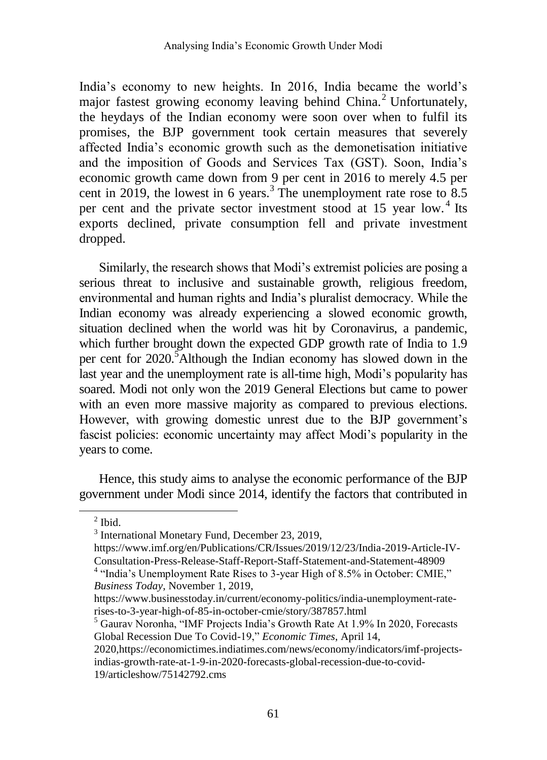India's economy to new heights. In 2016, India became the world's major fastest growing economy leaving behind China.<sup>2</sup> Unfortunately, the heydays of the Indian economy were soon over when to fulfil its promises, the BJP government took certain measures that severely affected India's economic growth such as the demonetisation initiative and the imposition of Goods and Services Tax (GST). Soon, India's economic growth came down from 9 per cent in 2016 to merely 4.5 per cent in 2019, the lowest in 6 years.<sup>3</sup> The unemployment rate rose to  $8.5$ per cent and the private sector investment stood at 15 year low.<sup>4</sup> Its exports declined, private consumption fell and private investment dropped.

Similarly, the research shows that Modi's extremist policies are posing a serious threat to inclusive and sustainable growth, religious freedom, environmental and human rights and India's pluralist democracy. While the Indian economy was already experiencing a slowed economic growth, situation declined when the world was hit by Coronavirus, a pandemic, which further brought down the expected GDP growth rate of India to 1.9 per cent for 2020.<sup>5</sup>Although the Indian economy has slowed down in the last year and the unemployment rate is all-time high, Modi's popularity has soared. Modi not only won the 2019 General Elections but came to power with an even more massive majority as compared to previous elections. However, with growing domestic unrest due to the BJP government's fascist policies: economic uncertainty may affect Modi's popularity in the years to come.

Hence, this study aims to analyse the economic performance of the BJP government under Modi since 2014, identify the factors that contributed in

 $\overline{a}$ 

<sup>3</sup> International Monetary Fund, December 23, 2019,

[https://www.imf.org/en/Publications/CR/Issues/2019/12/23/India-2019-Article-IV-](https://www.imf.org/en/Publications/CR/Issues/2019/12/23/India-2019-Article-IV-Consultation-Press-Release-Staff-Report-Staff-Statement-and-Statement-48909)[Consultation-Press-Release-Staff-Report-Staff-Statement-and-Statement-48909](https://www.imf.org/en/Publications/CR/Issues/2019/12/23/India-2019-Article-IV-Consultation-Press-Release-Staff-Report-Staff-Statement-and-Statement-48909)

 $<sup>2</sup>$  Ibid.</sup>

<sup>&</sup>lt;sup>4</sup> "India's Unemployment Rate Rises to 3-year High of 8.5% in October: CMIE," *Business Today*, November 1, 2019,

https://www.businesstoday.in/current/economy-politics/india-unemployment-raterises-to-3-year-high-of-85-in-october-cmie/story/387857.html

<sup>5</sup> Gaurav Noronha, "IMF Projects India's Growth Rate At 1.9% In 2020, Forecasts Global Recession Due To Covid-19," *Economic Times*, April 14,

<sup>2020</sup>[,https://economictimes.indiatimes.com/news/economy/indicators/imf-projects](https://economictimes.indiatimes.com/news/economy/indicators/imf-projects-indias-growth-rate-at-1-9-in-2020-forecasts-global-recession-due-to-covid-19/articleshow/75142792.cms)[indias-growth-rate-at-1-9-in-2020-forecasts-global-recession-due-to-covid-](https://economictimes.indiatimes.com/news/economy/indicators/imf-projects-indias-growth-rate-at-1-9-in-2020-forecasts-global-recession-due-to-covid-19/articleshow/75142792.cms)[19/articleshow/75142792.cms](https://economictimes.indiatimes.com/news/economy/indicators/imf-projects-indias-growth-rate-at-1-9-in-2020-forecasts-global-recession-due-to-covid-19/articleshow/75142792.cms)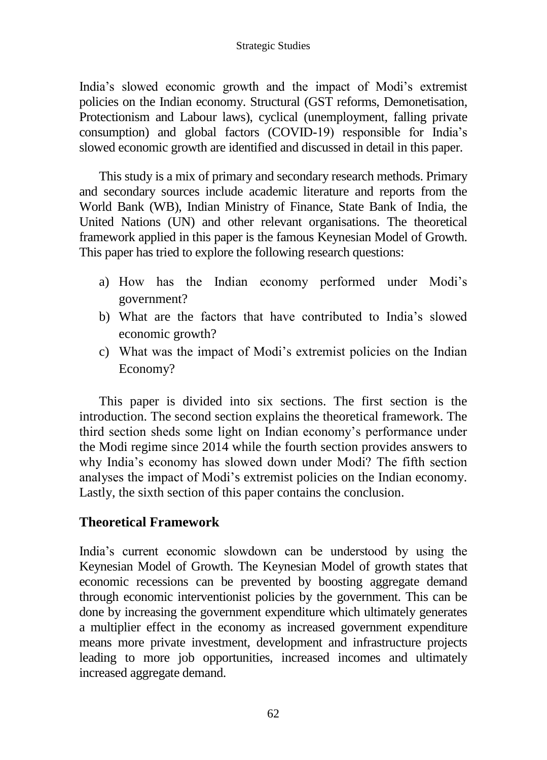India's slowed economic growth and the impact of Modi's extremist policies on the Indian economy. Structural (GST reforms, Demonetisation, Protectionism and Labour laws), cyclical (unemployment, falling private consumption) and global factors (COVID-19) responsible for India's slowed economic growth are identified and discussed in detail in this paper.

This study is a mix of primary and secondary research methods. Primary and secondary sources include academic literature and reports from the World Bank (WB), Indian Ministry of Finance, State Bank of India, the United Nations (UN) and other relevant organisations. The theoretical framework applied in this paper is the famous Keynesian Model of Growth. This paper has tried to explore the following research questions:

- a) How has the Indian economy performed under Modi's government?
- b) What are the factors that have contributed to India's slowed economic growth?
- c) What was the impact of Modi's extremist policies on the Indian Economy?

This paper is divided into six sections. The first section is the introduction. The second section explains the theoretical framework. The third section sheds some light on Indian economy's performance under the Modi regime since 2014 while the fourth section provides answers to why India's economy has slowed down under Modi? The fifth section analyses the impact of Modi's extremist policies on the Indian economy. Lastly, the sixth section of this paper contains the conclusion.

# **Theoretical Framework**

India's current economic slowdown can be understood by using the Keynesian Model of Growth. The Keynesian Model of growth states that economic recessions can be prevented by boosting aggregate demand through economic interventionist policies by the government. This can be done by increasing the government expenditure which ultimately generates a multiplier effect in the economy as increased government expenditure means more private investment, development and infrastructure projects leading to more job opportunities, increased incomes and ultimately increased aggregate demand.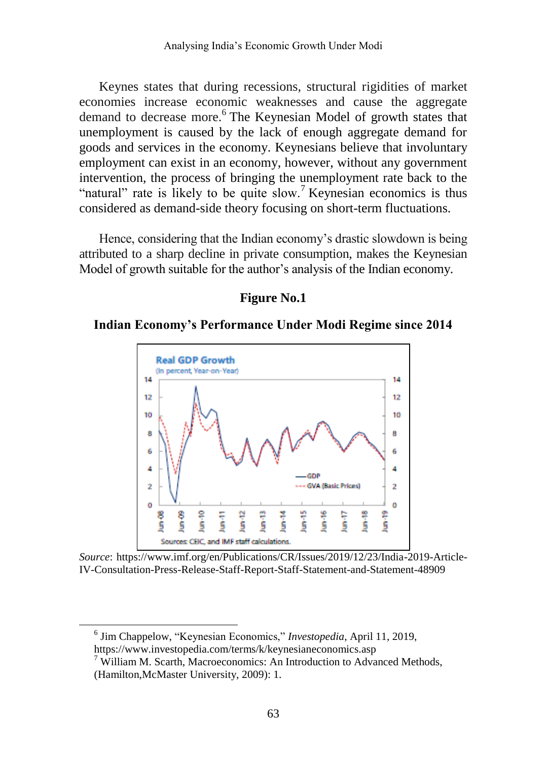Keynes states that during recessions, structural rigidities of market economies increase economic weaknesses and cause the aggregate demand to decrease more.<sup>6</sup> The Keynesian Model of growth states that unemployment is caused by the lack of enough aggregate demand for goods and services in the economy. Keynesians believe that involuntary employment can exist in an economy, however, without any government intervention, the process of bringing the unemployment rate back to the "natural" rate is likely to be quite slow.<sup>7</sup> Keynesian economics is thus considered as demand-side theory focusing on short-term fluctuations.

Hence, considering that the Indian economy's drastic slowdown is being attributed to a sharp decline in private consumption, makes the Keynesian Model of growth suitable for the author's analysis of the Indian economy.

#### **Figure No.1**

#### **Indian Economy's Performance Under Modi Regime since 2014**



*Source*: [https://www.imf.org/en/Publications/CR/Issues/2019/12/23/India-2019-Article-](https://www.imf.org/en/Publications/CR/Issues/2019/12/23/India-2019-Article-IV-Consultation-Press-Release-Staff-Report-Staff-Statement-and-Statement-48909)[IV-Consultation-Press-Release-Staff-Report-Staff-Statement-and-Statement-48909](https://www.imf.org/en/Publications/CR/Issues/2019/12/23/India-2019-Article-IV-Consultation-Press-Release-Staff-Report-Staff-Statement-and-Statement-48909)

<sup>6</sup> [Jim Chappelow,](https://www.investopedia.com/jim-chappelow-4684367) "Keynesian Economics," *Investopedia*, April 11, 2019, <https://www.investopedia.com/terms/k/keynesianeconomics.asp>

 $7$  William M. Scarth, Macroeconomics: An Introduction to Advanced Methods, (Hamilton,McMaster University, 2009): 1.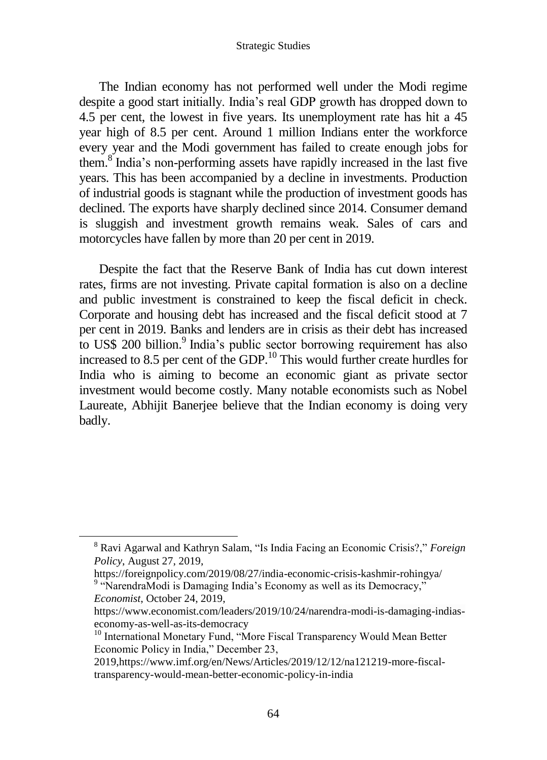The Indian economy has not performed well under the Modi regime despite a good start initially. India's real GDP growth has dropped down to 4.5 per cent, the lowest in five years. Its unemployment rate has hit a 45 year high of 8.5 per cent. Around 1 million Indians enter the workforce every year and the Modi government has failed to create enough jobs for them.<sup>8</sup> India's non-performing assets have rapidly increased in the last five years. This has been accompanied by a decline in investments. Production of industrial goods is stagnant while the production of investment goods has declined. The exports have sharply declined since 2014. Consumer demand is sluggish and investment growth remains weak. Sales of cars and motorcycles have fallen by more than 20 per cent in 2019.

Despite the fact that the Reserve Bank of India has cut down interest rates, firms are not investing. Private capital formation is also on a decline and public investment is constrained to keep the fiscal deficit in check. Corporate and housing debt has increased and the fiscal deficit stood at 7 per cent in 2019. Banks and lenders are in crisis as their debt has increased to US\$ 200 billion.<sup>9</sup> India's public sector borrowing requirement has also increased to 8.5 per cent of the GDP.<sup>10</sup> This would further create hurdles for India who is aiming to become an economic giant as private sector investment would become costly. Many notable economists such as Nobel Laureate, Abhijit Banerjee believe that the Indian economy is doing very badly.

<sup>8</sup> [Ravi Agarwal](https://foreignpolicy.com/author/ravi-agrawal/) and [Kathryn Salam,](https://foreignpolicy.com/author/kathryn-salam/) "Is India Facing an Economic Crisis?," *Foreign Policy*, August 27, 2019,

<https://foreignpolicy.com/2019/08/27/india-economic-crisis-kashmir-rohingya/> <sup>9</sup> "NarendraModi is Damaging India's Economy as well as its Democracy,"

*Economist*, October 24, 2019,

[https://www.economist.com/leaders/2019/10/24/narendra-modi-is-damaging-indias](https://www.economist.com/leaders/2019/10/24/narendra-modi-is-damaging-indias-economy-as-well-as-its-democracy)[economy-as-well-as-its-democracy](https://www.economist.com/leaders/2019/10/24/narendra-modi-is-damaging-indias-economy-as-well-as-its-democracy)

<sup>&</sup>lt;sup>10</sup> International Monetary Fund, "More Fiscal Transparency Would Mean Better Economic Policy in India," December 23,

<sup>2019</sup>[,https://www.imf.org/en/News/Articles/2019/12/12/na121219-more-fiscal](https://www.imf.org/en/News/Articles/2019/12/12/na121219-more-fiscal-transparency-would-mean-better-economic-policy-in-india)[transparency-would-mean-better-economic-policy-in-india](https://www.imf.org/en/News/Articles/2019/12/12/na121219-more-fiscal-transparency-would-mean-better-economic-policy-in-india)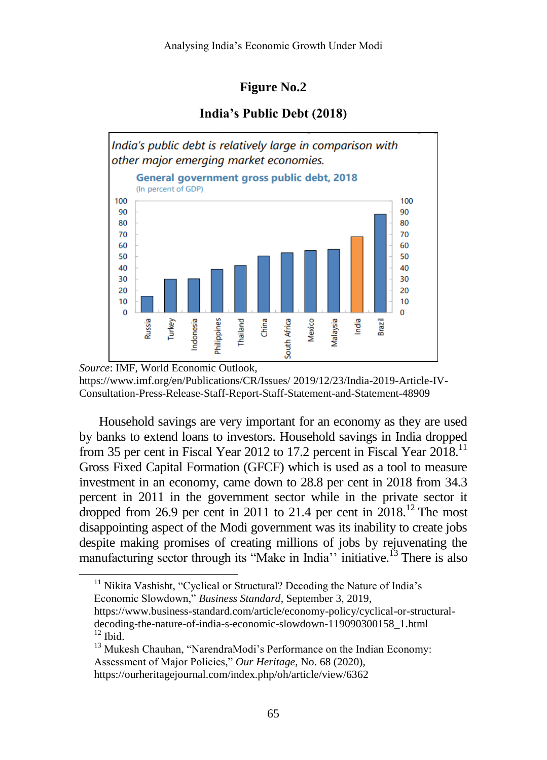### **Figure No.2**

#### **India's Public Debt (2018)**



*Source*: IMF, World Economic Outlook, [https://www.imf.org/en/Publications/CR/Issues/](https://www.imf.org/en/Publications/CR/Issues/2019/12/23/India-2019-Article-IV-Consultation-Press-Release-Staff-Report-Staff-Statement-and-Statement-48909) 2019/12/23/India-2019-Article-IV-[Consultation-Press-Release-Staff-Report-Staff-Statement-and-Statement-48909](https://www.imf.org/en/Publications/CR/Issues/2019/12/23/India-2019-Article-IV-Consultation-Press-Release-Staff-Report-Staff-Statement-and-Statement-48909)

Household savings are very important for an economy as they are used by banks to extend loans to investors. Household savings in India dropped from 35 per cent in Fiscal Year 2012 to 17.2 percent in Fiscal Year 2018.<sup>11</sup> Gross Fixed Capital Formation (GFCF) which is used as a tool to measure investment in an economy, came down to 28.8 per cent in 2018 from 34.3 percent in 2011 in the government sector while in the private sector it dropped from 26.9 per cent in 2011 to 21.4 per cent in  $2018$ .<sup>12</sup> The most disappointing aspect of the Modi government was its inability to create jobs despite making promises of creating millions of jobs by rejuvenating the manufacturing sector through its "Make in India" initiative.<sup>13</sup> There is also

<sup>11</sup> [Nikita Vashisht,](https://www.business-standard.com/author/search/keyword/nikita-vashisht) "Cyclical or Structural? Decoding the Nature of India's Economic Slowdown," *Business Standard*, September 3, 2019, [https://www.business-standard.com/article/economy-policy/cyclical-or-structural](https://www.business-standard.com/article/economy-policy/cyclical-or-structural-decoding-the-nature-of-india-s-economic-slowdown-119090300158_1.html)[decoding-the-nature-of-india-s-economic-slowdown-119090300158\\_1.html](https://www.business-standard.com/article/economy-policy/cyclical-or-structural-decoding-the-nature-of-india-s-economic-slowdown-119090300158_1.html)  $12$  Ibid.

<sup>&</sup>lt;sup>13</sup> Mukesh Chauhan, "NarendraModi's Performance on the Indian Economy: Assessment of Major Policies," *Our Heritage*, No. 68 (2020), <https://ourheritagejournal.com/index.php/oh/article/view/6362>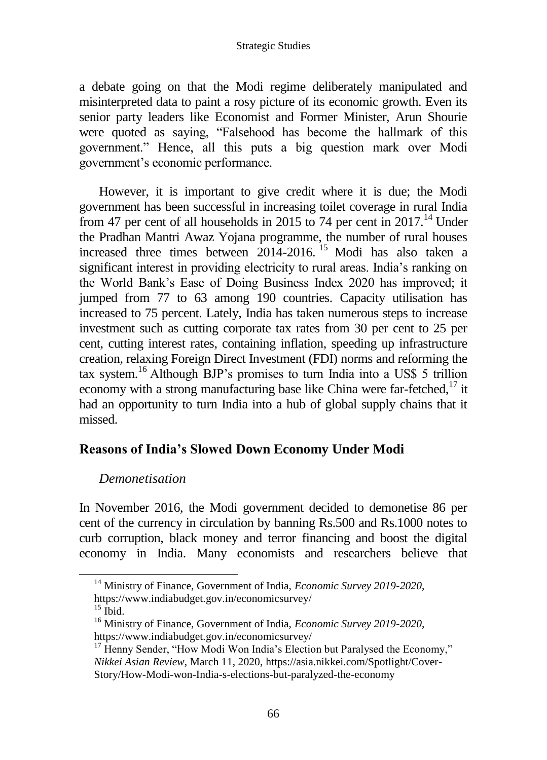a debate going on that the Modi regime deliberately manipulated and misinterpreted data to paint a rosy picture of its economic growth. Even its senior party leaders like Economist and Former Minister, Arun Shourie were quoted as saying, "Falsehood has become the hallmark of this government." Hence, all this puts a big question mark over Modi government's economic performance.

However, it is important to give credit where it is due; the Modi government has been successful in increasing toilet coverage in rural India from 47 per cent of all households in 2015 to 74 per cent in 2017.<sup>14</sup> Under the Pradhan Mantri Awaz Yojana programme, the number of rural houses increased three times between 2014-2016. <sup>15</sup> Modi has also taken a significant interest in providing electricity to rural areas. India's ranking on the World Bank's Ease of Doing Business Index 2020 has improved; it jumped from 77 to 63 among 190 countries. Capacity utilisation has increased to 75 percent. Lately, India has taken numerous steps to increase investment such as cutting corporate tax rates from 30 per cent to 25 per cent, cutting interest rates, containing inflation, speeding up infrastructure creation, relaxing Foreign Direct Investment (FDI) norms and reforming the tax system.<sup>16</sup> Although BJP's promises to turn India into a US\$ 5 trillion economy with a strong manufacturing base like China were far-fetched, $17$  it had an opportunity to turn India into a hub of global supply chains that it missed.

## **Reasons of India's Slowed Down Economy Under Modi**

## *Demonetisation*

In November 2016, the Modi government decided to demonetise 86 per cent of the currency in circulation by banning Rs.500 and Rs.1000 notes to curb corruption, black money and terror financing and boost the digital economy in India. Many economists and researchers believe that

<sup>14</sup> Ministry of Finance, Government of India, *Economic Survey 2019-2020*, https://www.indiabudget.gov.in/economicsurvey/

 $15$  Ibid.

<sup>16</sup> Ministry of Finance, Government of India, *Economic Survey 2019-2020*, https://www.indiabudget.gov.in/economicsurvey/

 $17$  Henny Sender, "How Modi Won India's Election but Paralysed the Economy," *Nikkei Asian Review*, March 11, 2020, [https://asia.nikkei.com/Spotlight/Cover-](https://asia.nikkei.com/Spotlight/Cover-Story/How-Modi-won-India-s-elections-but-paralyzed-the-economy)[Story/How-Modi-won-India-s-elections-but-paralyzed-the-economy](https://asia.nikkei.com/Spotlight/Cover-Story/How-Modi-won-India-s-elections-but-paralyzed-the-economy)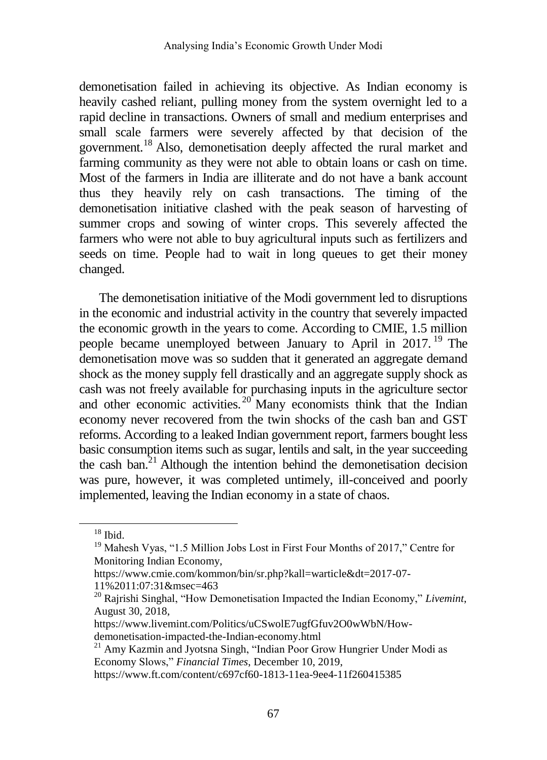demonetisation failed in achieving its objective. As Indian economy is heavily cashed reliant, pulling money from the system overnight led to a rapid decline in transactions. Owners of small and medium enterprises and small scale farmers were severely affected by that decision of the government.<sup>18</sup> Also, demonetisation deeply affected the rural market and farming community as they were not able to obtain loans or cash on time. Most of the farmers in India are illiterate and do not have a bank account thus they heavily rely on cash transactions. The timing of the demonetisation initiative clashed with the peak season of harvesting of summer crops and sowing of winter crops. This severely affected the farmers who were not able to buy agricultural inputs such as fertilizers and seeds on time. People had to wait in long queues to get their money changed.

The demonetisation initiative of the Modi government led to disruptions in the economic and industrial activity in the country that severely impacted the economic growth in the years to come. According to CMIE, 1.5 million people became unemployed between January to April in 2017. <sup>19</sup> The demonetisation move was so sudden that it generated an aggregate demand shock as the money supply fell drastically and an aggregate supply shock as cash was not freely available for purchasing inputs in the agriculture sector and other economic activities.  $20^{\circ}$  Many economists think that the Indian economy never recovered from the twin shocks of the cash ban and GST reforms. According to a leaked Indian government report, farmers bought less basic consumption items such as sugar, lentils and salt, in the year succeeding the cash ban.<sup>21</sup> Although the intention behind the demonetisation decision was pure, however, it was completed untimely, ill-conceived and poorly implemented, leaving the Indian economy in a state of chaos.

 $^{18}$  Ibid.

<sup>&</sup>lt;sup>19</sup> Mahesh Vyas, "1.5 Million Jobs Lost in First Four Months of 2017," Centre for Monitoring Indian Economy,

[https://www.cmie.com/kommon/bin/sr.php?kall=warticle&dt=2017-07-](https://www.cmie.com/kommon/bin/sr.php?kall=warticle&dt=2017-07-11%2011:07:31&msec=463) [11%2011:07:31&msec=463](https://www.cmie.com/kommon/bin/sr.php?kall=warticle&dt=2017-07-11%2011:07:31&msec=463)

<sup>20</sup> [Rajrishi Singhal,](https://www.livemint.com/Search/Link/Author/Rajrishi%20Singhal) "How Demonetisation Impacted the Indian Economy," *Livemint*, August 30, 2018,

[https://www.livemint.com/Politics/uCSwolE7ugfGfuv2O0wWbN/How](https://www.livemint.com/Politics/uCSwolE7ugfGfuv2O0wWbN/How-demonetisation-impacted-the-Indian-economy.html)[demonetisation-impacted-the-Indian-economy.html](https://www.livemint.com/Politics/uCSwolE7ugfGfuv2O0wWbN/How-demonetisation-impacted-the-Indian-economy.html)

 $21$  [Amy Kazmin](https://www.ft.com/amy-kazmin) and [Jyotsna Singh,](https://www.ft.com/stream/4a3a7597-a0c6-4bec-a82a-25a0714f504d) "Indian Poor Grow Hungrier Under Modi as Economy Slows," *Financial Times*, December 10, 2019,

<https://www.ft.com/content/c697cf60-1813-11ea-9ee4-11f260415385>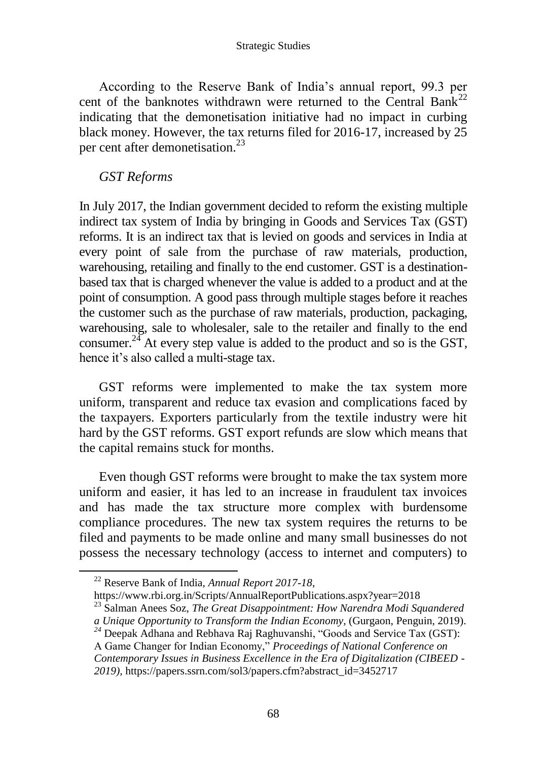According to the Reserve Bank of India's annual report, 99.3 per cent of the banknotes withdrawn were returned to the Central Bank<sup>22</sup> indicating that the demonetisation initiative had no impact in curbing black money. However, the tax returns filed for 2016-17, increased by 25 per cent after demonetisation.<sup>23</sup>

### *GST Reforms*

In July 2017, the Indian government decided to reform the existing multiple indirect tax system of India by bringing in Goods and Services Tax (GST) reforms. It is an indirect tax that is levied on goods and services in India at every point of sale from the purchase of raw materials, production, warehousing, retailing and finally to the end customer. GST is a destinationbased tax that is charged whenever the value is added to a product and at the point of consumption. A good pass through multiple stages before it reaches the customer such as the purchase of raw materials, production, packaging, warehousing, sale to wholesaler, sale to the retailer and finally to the end consumer.<sup>24</sup> At every step value is added to the product and so is the GST, hence it's also called a multi-stage tax.

GST reforms were implemented to make the tax system more uniform, transparent and reduce tax evasion and complications faced by the taxpayers. Exporters particularly from the textile industry were hit hard by the GST reforms. GST export refunds are slow which means that the capital remains stuck for months.

Even though GST reforms were brought to make the tax system more uniform and easier, it has led to an increase in fraudulent tax invoices and has made the tax structure more complex with burdensome compliance procedures. The new tax system requires the returns to be filed and payments to be made online and many small businesses do not possess the necessary technology (access to internet and computers) to

- *<sup>24</sup>* [Deepak Adhana](https://papers.ssrn.com/sol3/cf_dev/AbsByAuth.cfm?per_id=2283484) and [Rebhava Raj Raghuvanshi,](https://papers.ssrn.com/sol3/cf_dev/AbsByAuth.cfm?per_id=3718358) "Goods and Service Tax (GST):
- A Game Changer for Indian Economy," *Proceedings of National Conference on Contemporary Issues in Business Excellence in the Era of Digitalization (CIBEED - 2019),* [https://papers.ssrn.com/sol3/papers.cfm?abstract\\_id=3452717](https://papers.ssrn.com/sol3/papers.cfm?abstract_id=3452717)

<sup>22</sup> Reserve Bank of India, *Annual Report 2017-18*,

<https://www.rbi.org.in/Scripts/AnnualReportPublications.aspx?year=2018>

<sup>23</sup> Salman Anees Soz, *The Great Disappointment: How Narendra Modi Squandered a Unique Opportunity to Transform the Indian Economy*, (Gurgaon, Penguin, 2019).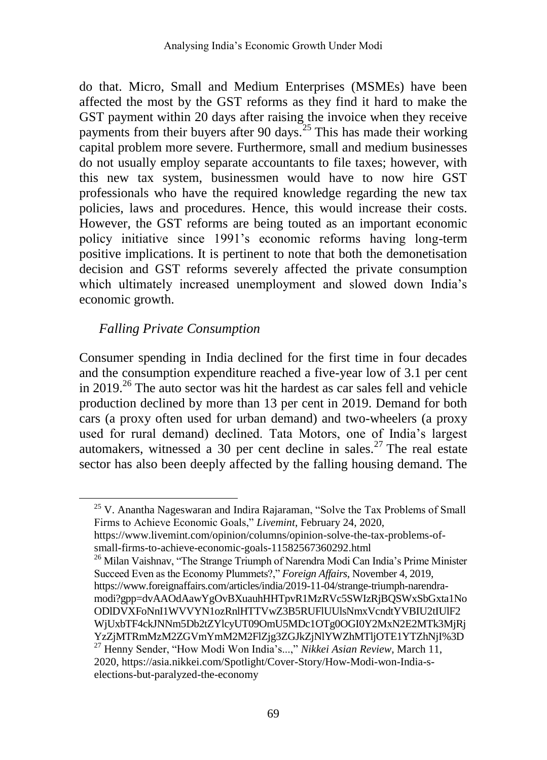do that. Micro, Small and Medium Enterprises (MSMEs) have been affected the most by the GST reforms as they find it hard to make the GST payment within 20 days after raising the invoice when they receive payments from their buyers after 90 days.<sup>25</sup> This has made their working capital problem more severe. Furthermore, small and medium businesses do not usually employ separate accountants to file taxes; however, with this new tax system, businessmen would have to now hire GST professionals who have the required knowledge regarding the new tax policies, laws and procedures. Hence, this would increase their costs. However, the GST reforms are being touted as an important economic policy initiative since 1991's economic reforms having long-term positive implications. It is pertinent to note that both the demonetisation decision and GST reforms severely affected the private consumption which ultimately increased unemployment and slowed down India's economic growth.

# *Falling Private Consumption*

 $\overline{a}$ 

Consumer spending in India declined for the first time in four decades and the consumption expenditure reached a five-year low of 3.1 per cent in 2019.<sup>26</sup> The auto sector was hit the hardest as car sales fell and vehicle production declined by more than 13 per cent in 2019. Demand for both cars (a proxy often used for urban demand) and two-wheelers (a proxy used for rural demand) declined. Tata Motors, one of India's largest automakers, witnessed a 30 per cent decline in sales.<sup>27</sup> The real estate sector has also been deeply affected by the falling housing demand. The

[https://www.livemint.com/opinion/columns/opinion-solve-the-tax-problems-of](https://www.livemint.com/opinion/columns/opinion-solve-the-tax-problems-of-small-firms-to-achieve-economic-goals-11582567360292.html)[small-firms-to-achieve-economic-goals-11582567360292.html](https://www.livemint.com/opinion/columns/opinion-solve-the-tax-problems-of-small-firms-to-achieve-economic-goals-11582567360292.html)

<sup>26</sup> [Milan Vaishnav,](https://www.foreignaffairs.com/author) "The Strange Triumph of Narendra Modi Can India's Prime Minister Succeed Even as the Economy Plummets?," *Foreign Affairs*, November 4, 2019, [https://www.foreignaffairs.com/articles/india/2019-11-04/strange-triumph-narendra](https://www.foreignaffairs.com/articles/india/2019-11-04/strange-triumph-narendra-modi?gpp=dvAAOdAawYgOvBXuauhHHTpvR1MzRVc5SWIzRjBQSWxSbGxta1NoODlDVXFoNnI1WVVYN1ozRnlHTTVwZ3B5RUFlUUlsNmxVcndtYVBIU2tIUlF2WjUxbTF4ckJNNm5Db2tZYlcyUT09OmU5MDc1OTg0OGI0Y2MxN2E2MTk3MjRjYzZjMTRmMzM2ZGVmYmM2M2FlZjg3ZGJkZjNlYWZhMTljOTE1YTZhNjI%3D)[modi?gpp=dvAAOdAawYgOvBXuauhHHTpvR1MzRVc5SWIzRjBQSWxSbGxta1No](https://www.foreignaffairs.com/articles/india/2019-11-04/strange-triumph-narendra-modi?gpp=dvAAOdAawYgOvBXuauhHHTpvR1MzRVc5SWIzRjBQSWxSbGxta1NoODlDVXFoNnI1WVVYN1ozRnlHTTVwZ3B5RUFlUUlsNmxVcndtYVBIU2tIUlF2WjUxbTF4ckJNNm5Db2tZYlcyUT09OmU5MDc1OTg0OGI0Y2MxN2E2MTk3MjRjYzZjMTRmMzM2ZGVmYmM2M2FlZjg3ZGJkZjNlYWZhMTljOTE1YTZhNjI%3D) [ODlDVXFoNnI1WVVYN1ozRnlHTTVwZ3B5RUFlUUlsNmxVcndtYVBIU2tIUlF2](https://www.foreignaffairs.com/articles/india/2019-11-04/strange-triumph-narendra-modi?gpp=dvAAOdAawYgOvBXuauhHHTpvR1MzRVc5SWIzRjBQSWxSbGxta1NoODlDVXFoNnI1WVVYN1ozRnlHTTVwZ3B5RUFlUUlsNmxVcndtYVBIU2tIUlF2WjUxbTF4ckJNNm5Db2tZYlcyUT09OmU5MDc1OTg0OGI0Y2MxN2E2MTk3MjRjYzZjMTRmMzM2ZGVmYmM2M2FlZjg3ZGJkZjNlYWZhMTljOTE1YTZhNjI%3D)

<sup>&</sup>lt;sup>25</sup> [V. Anantha Nageswaran](https://www.livemint.com/Search/Link/Author/V.%20Anantha%20Nageswaran) and [Indira Rajaraman,](https://www.livemint.com/Search/Link/Author/Indira%20Rajaraman) "Solve the Tax Problems of Small Firms to Achieve Economic Goals," *Livemint*, February 24, 2020,

[WjUxbTF4ckJNNm5Db2tZYlcyUT09OmU5MDc1OTg0OGI0Y2MxN2E2MTk3MjRj](https://www.foreignaffairs.com/articles/india/2019-11-04/strange-triumph-narendra-modi?gpp=dvAAOdAawYgOvBXuauhHHTpvR1MzRVc5SWIzRjBQSWxSbGxta1NoODlDVXFoNnI1WVVYN1ozRnlHTTVwZ3B5RUFlUUlsNmxVcndtYVBIU2tIUlF2WjUxbTF4ckJNNm5Db2tZYlcyUT09OmU5MDc1OTg0OGI0Y2MxN2E2MTk3MjRjYzZjMTRmMzM2ZGVmYmM2M2FlZjg3ZGJkZjNlYWZhMTljOTE1YTZhNjI%3D)

[YzZjMTRmMzM2ZGVmYmM2M2FlZjg3ZGJkZjNlYWZhMTljOTE1YTZhNjI%3D](https://www.foreignaffairs.com/articles/india/2019-11-04/strange-triumph-narendra-modi?gpp=dvAAOdAawYgOvBXuauhHHTpvR1MzRVc5SWIzRjBQSWxSbGxta1NoODlDVXFoNnI1WVVYN1ozRnlHTTVwZ3B5RUFlUUlsNmxVcndtYVBIU2tIUlF2WjUxbTF4ckJNNm5Db2tZYlcyUT09OmU5MDc1OTg0OGI0Y2MxN2E2MTk3MjRjYzZjMTRmMzM2ZGVmYmM2M2FlZjg3ZGJkZjNlYWZhMTljOTE1YTZhNjI%3D) <sup>27</sup> Henny Sender, "How Modi Won India's...," *Nikkei Asian Review*, March 11,

<sup>2020</sup>[, https://asia.nikkei.com/Spotlight/Cover-Story/How-Modi-won-India-s](https://asia.nikkei.com/Spotlight/Cover-Story/How-Modi-won-India-s-elections-but-paralyzed-the-economy)[elections-but-paralyzed-the-economy](https://asia.nikkei.com/Spotlight/Cover-Story/How-Modi-won-India-s-elections-but-paralyzed-the-economy)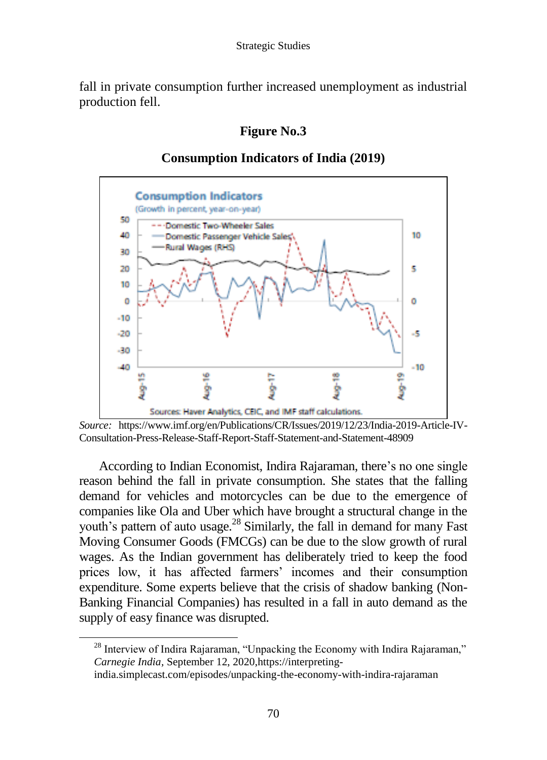fall in private consumption further increased unemployment as industrial production fell.

## **Figure No.3**



### **Consumption Indicators of India (2019)**

*Source:* [https://www.imf.org/en/Publications/CR/Issues/2019/12/23/India-2019-Article-IV-](https://www.imf.org/en/Publications/CR/Issues/2019/12/23/India-2019-Article-IV-Consultation-Press-Release-Staff-Report-Staff-Statement-and-Statement-48909)[Consultation-Press-Release-Staff-Report-Staff-Statement-and-Statement-48909](https://www.imf.org/en/Publications/CR/Issues/2019/12/23/India-2019-Article-IV-Consultation-Press-Release-Staff-Report-Staff-Statement-and-Statement-48909)

According to Indian Economist, Indira Rajaraman, there's no one single reason behind the fall in private consumption. She states that the falling demand for vehicles and motorcycles can be due to the emergence of companies like Ola and Uber which have brought a structural change in the youth's pattern of auto usage.<sup>28</sup> Similarly, the fall in demand for many Fast Moving Consumer Goods (FMCGs) can be due to the slow growth of rural wages. As the Indian government has deliberately tried to keep the food prices low, it has affected farmers' incomes and their consumption expenditure. Some experts believe that the crisis of shadow banking (Non-Banking Financial Companies) has resulted in a fall in auto demand as the supply of easy finance was disrupted.

 $^{28}$  Interview of Indira Rajaraman, "Unpacking the Economy with Indira Rajaraman," *[Carnegie India,](https://carnegieindia.org/)* September 12, 2020[,https://interpreting-](https://interpreting-india.simplecast.com/episodes/unpacking-the-economy-with-indira-rajaraman)

[india.simplecast.com/episodes/unpacking-the-economy-with-indira-rajaraman](https://interpreting-india.simplecast.com/episodes/unpacking-the-economy-with-indira-rajaraman)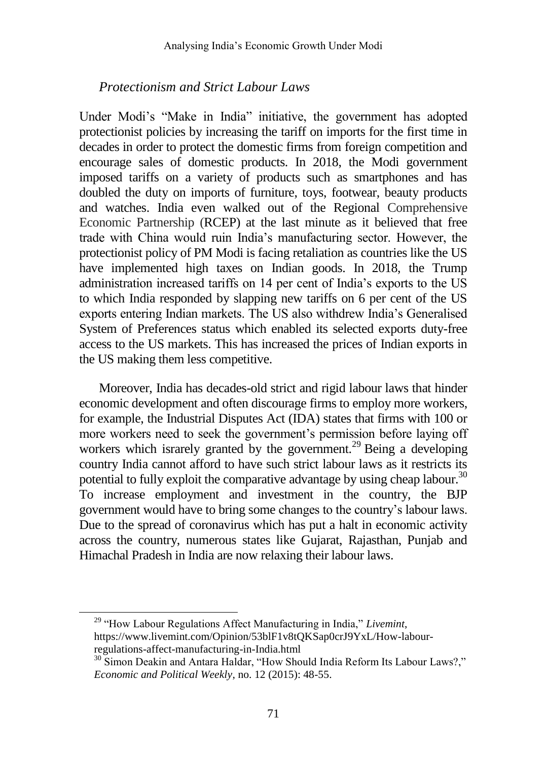### *Protectionism and Strict Labour Laws*

Under Modi's "Make in India" initiative, the government has adopted protectionist policies by increasing the tariff on imports for the first time in decades in order to protect the domestic firms from foreign competition and encourage sales of domestic products. In 2018, the Modi government imposed tariffs on a variety of products such as smartphones and has doubled the duty on imports of furniture, toys, footwear, beauty products and watches. India even walked out of the Regional Comprehensive Economic Partnership (RCEP) at the last minute as it believed that free trade with China would ruin India's manufacturing sector. However, the protectionist policy of PM Modi is facing retaliation as countries like the US have implemented high taxes on Indian goods. In 2018, the Trump administration increased tariffs on 14 per cent of India's exports to the US to which India responded by slapping new tariffs on 6 per cent of the US exports entering Indian markets. The US also withdrew India's Generalised System of Preferences status which enabled its selected exports duty-free access to the US markets. This has increased the prices of Indian exports in the US making them less competitive.

Moreover, India has decades-old strict and rigid labour laws that hinder economic development and often discourage firms to employ more workers, for example, the Industrial Disputes Act (IDA) states that firms with 100 or more workers need to seek the government's permission before laying off workers which israrely granted by the government.<sup>29</sup> Being a developing country India cannot afford to have such strict labour laws as it restricts its potential to fully exploit the comparative advantage by using cheap labour.<sup>30</sup> To increase employment and investment in the country, the BJP government would have to bring some changes to the country's labour laws. Due to the spread of coronavirus which has put a halt in economic activity across the country, numerous states like Gujarat, Rajasthan, Punjab and Himachal Pradesh in India are now relaxing their labour laws.

<sup>29</sup> "How Labour Regulations Affect Manufacturing in India," *Livemint*, [https://www.livemint.com/Opinion/53blF1v8tQKSap0crJ9YxL/How-labour](https://www.livemint.com/Opinion/53blF1v8tQKSap0crJ9YxL/How-labour-regulations-affect-manufacturing-in-India.html)[regulations-affect-manufacturing-in-India.html](https://www.livemint.com/Opinion/53blF1v8tQKSap0crJ9YxL/How-labour-regulations-affect-manufacturing-in-India.html)

<sup>&</sup>lt;sup>30</sup> Simon Deakin and Antara Haldar, "How Should India Reform Its Labour Laws?," *Economic and Political Weekly*, no. 12 (2015): 48-55.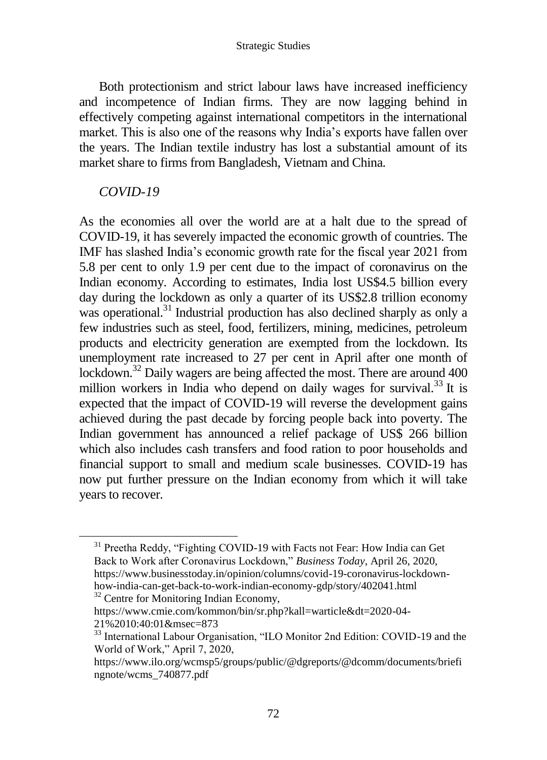Both protectionism and strict labour laws have increased inefficiency and incompetence of Indian firms. They are now lagging behind in effectively competing against international competitors in the international market. This is also one of the reasons why India's exports have fallen over the years. The Indian textile industry has lost a substantial amount of its market share to firms from Bangladesh, Vietnam and China.

### *COVID-19*

 $\overline{a}$ 

As the economies all over the world are at a halt due to the spread of COVID-19, it has severely impacted the economic growth of countries. The IMF has slashed India's economic growth rate for the fiscal year 2021 from 5.8 per cent to only 1.9 per cent due to the impact of coronavirus on the Indian economy. According to estimates, India lost US\$4.5 billion every day during the lockdown as only a quarter of its US\$2.8 trillion economy was operational.<sup>31</sup> Industrial production has also declined sharply as only a few industries such as steel, food, fertilizers, mining, medicines, petroleum products and electricity generation are exempted from the lockdown. Its unemployment rate increased to 27 per cent in April after one month of lockdown.<sup>32</sup> Daily wagers are being affected the most. There are around 400 million workers in India who depend on daily wages for survival.<sup>33</sup> It is expected that the impact of COVID-19 will reverse the development gains achieved during the past decade by forcing people back into poverty. The Indian government has announced a relief package of US\$ 266 billion which also includes cash transfers and food ration to poor households and financial support to small and medium scale businesses. COVID-19 has now put further pressure on the Indian economy from which it will take years to recover.

<sup>32</sup> Centre for Monitoring Indian Economy,

<sup>&</sup>lt;sup>31</sup> Preetha Reddy, "Fighting COVID-19 with Facts not Fear: How India can Get Back to Work after Coronavirus Lockdown," *Business Today*, April 26, 2020, [https://www.businesstoday.in/opinion/columns/covid-19-coronavirus-lockdown](https://www.businesstoday.in/opinion/columns/covid-19-coronavirus-lockdown-how-india-can-get-back-to-work-indian-economy-gdp/story/402041.html)[how-india-can-get-back-to-work-indian-economy-gdp/story/402041.html](https://www.businesstoday.in/opinion/columns/covid-19-coronavirus-lockdown-how-india-can-get-back-to-work-indian-economy-gdp/story/402041.html)

[https://www.cmie.com/kommon/bin/sr.php?kall=warticle&dt=2020-04-](https://www.cmie.com/kommon/bin/sr.php?kall=warticle&dt=2020-04-21%2010:40:01&msec=873) [21%2010:40:01&msec=873](https://www.cmie.com/kommon/bin/sr.php?kall=warticle&dt=2020-04-21%2010:40:01&msec=873)

<sup>&</sup>lt;sup>33</sup> International Labour Organisation, "ILO Monitor 2nd Edition: COVID-19 and the World of Work," April 7, 2020,

[https://www.ilo.org/wcmsp5/groups/public/@dgreports/@dcomm/documents/briefi](https://www.ilo.org/wcmsp5/groups/public/@dgreports/@dcomm/documents/briefingnote/wcms_740877.pdf) [ngnote/wcms\\_740877.pdf](https://www.ilo.org/wcmsp5/groups/public/@dgreports/@dcomm/documents/briefingnote/wcms_740877.pdf)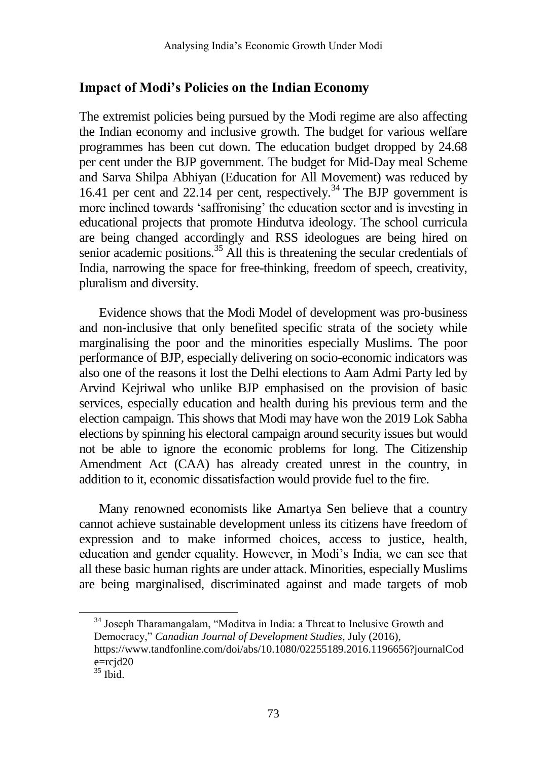#### **Impact of Modi's Policies on the Indian Economy**

The extremist policies being pursued by the Modi regime are also affecting the Indian economy and inclusive growth. The budget for various welfare programmes has been cut down. The education budget dropped by 24.68 per cent under the BJP government. The budget for Mid-Day meal Scheme and Sarva Shilpa Abhiyan (Education for All Movement) was reduced by 16.41 per cent and 22.14 per cent, respectively.<sup>34</sup> The BJP government is more inclined towards 'saffronising' the education sector and is investing in educational projects that promote Hindutva ideology. The school curricula are being changed accordingly and RSS ideologues are being hired on senior academic positions.<sup>35</sup> All this is threatening the secular credentials of India, narrowing the space for free-thinking, freedom of speech, creativity, pluralism and diversity.

Evidence shows that the Modi Model of development was pro-business and non-inclusive that only benefited specific strata of the society while marginalising the poor and the minorities especially Muslims. The poor performance of BJP, especially delivering on socio-economic indicators was also one of the reasons it lost the Delhi elections to Aam Admi Party led by Arvind Kejriwal who unlike BJP emphasised on the provision of basic services, especially education and health during his previous term and the election campaign. This shows that Modi may have won the 2019 Lok Sabha elections by spinning his electoral campaign around security issues but would not be able to ignore the economic problems for long. The Citizenship Amendment Act (CAA) has already created unrest in the country, in addition to it, economic dissatisfaction would provide fuel to the fire.

Many renowned economists like Amartya Sen believe that a country cannot achieve sustainable development unless its citizens have freedom of expression and to make informed choices, access to justice, health, education and gender equality. However, in Modi's India, we can see that all these basic human rights are under attack. Minorities, especially Muslims are being marginalised, discriminated against and made targets of mob

<sup>34</sup> Joseph Tharamangalam, "Moditva in India: a Threat to Inclusive Growth and Democracy," *Canadian Journal of Development Studies*, July (2016),

[https://www.tandfonline.com/doi/abs/10.1080/02255189.2016.1196656?journalCod](https://www.tandfonline.com/doi/abs/10.1080/02255189.2016.1196656?journalCode=rcjd20) [e=rcjd20](https://www.tandfonline.com/doi/abs/10.1080/02255189.2016.1196656?journalCode=rcjd20)

 $35$  Ibid.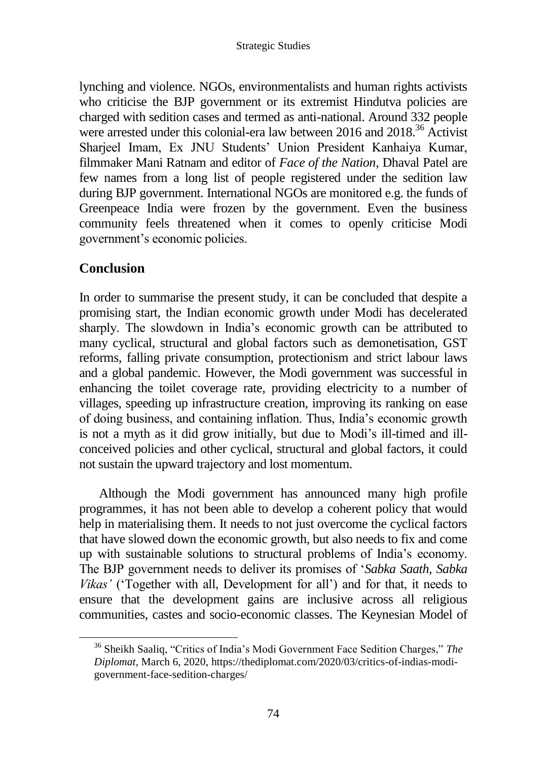lynching and violence. NGOs, environmentalists and human rights activists who criticise the BJP government or its extremist Hindutva policies are charged with sedition cases and termed as anti-national. Around 332 people were arrested under this colonial-era law between 2016 and 2018.<sup>36</sup> Activist Sharjeel Imam, Ex JNU Students' Union President Kanhaiya Kumar, filmmaker Mani Ratnam and editor of *Face of the Nation*, Dhaval Patel are few names from a long list of people registered under the sedition law during BJP government. International NGOs are monitored e.g. the funds of Greenpeace India were frozen by the government. Even the business community feels threatened when it comes to openly criticise Modi government's economic policies.

# **Conclusion**

In order to summarise the present study, it can be concluded that despite a promising start, the Indian economic growth under Modi has decelerated sharply. The slowdown in India's economic growth can be attributed to many cyclical, structural and global factors such as demonetisation, GST reforms, falling private consumption, protectionism and strict labour laws and a global pandemic. However, the Modi government was successful in enhancing the toilet coverage rate, providing electricity to a number of villages, speeding up infrastructure creation, improving its ranking on ease of doing business, and containing inflation. Thus, India's economic growth is not a myth as it did grow initially, but due to Modi's ill-timed and illconceived policies and other cyclical, structural and global factors, it could not sustain the upward trajectory and lost momentum.

Although the Modi government has announced many high profile programmes, it has not been able to develop a coherent policy that would help in materialising them. It needs to not just overcome the cyclical factors that have slowed down the economic growth, but also needs to fix and come up with sustainable solutions to structural problems of India's economy. The BJP government needs to deliver its promises of '*Sabka Saath, Sabka Vikas'* ('Together with all, Development for all') and for that, it needs to ensure that the development gains are inclusive across all religious communities, castes and socio-economic classes. The Keynesian Model of

<sup>36</sup> Sheikh Saaliq, "Critics of India's Modi Government Face Sedition Charges," *The Diplomat*, March 6, 2020, [https://thediplomat.com/2020/03/critics-of-indias-modi](https://thediplomat.com/2020/03/critics-of-indias-modi-government-face-sedition-charges/)[government-face-sedition-charges/](https://thediplomat.com/2020/03/critics-of-indias-modi-government-face-sedition-charges/)